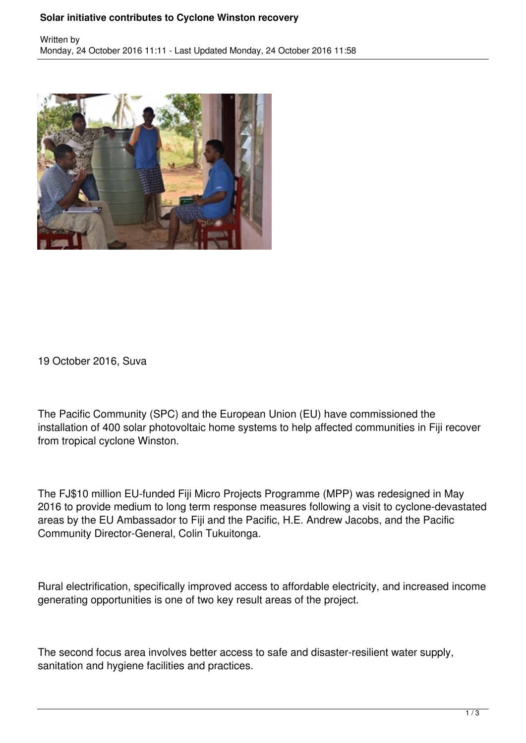## **Solar initiative contributes to Cyclone Winston recovery**



19 October 2016, Suva

The Pacific Community (SPC) and the European Union (EU) have commissioned the installation of 400 solar photovoltaic home systems to help affected communities in Fiji recover from tropical cyclone Winston.

The FJ\$10 million EU-funded Fiji Micro Projects Programme (MPP) was redesigned in May 2016 to provide medium to long term response measures following a visit to cyclone-devastated areas by the EU Ambassador to Fiji and the Pacific, H.E. Andrew Jacobs, and the Pacific Community Director-General, Colin Tukuitonga.

Rural electrification, specifically improved access to affordable electricity, and increased income generating opportunities is one of two key result areas of the project.

The second focus area involves better access to safe and disaster-resilient water supply, sanitation and hygiene facilities and practices.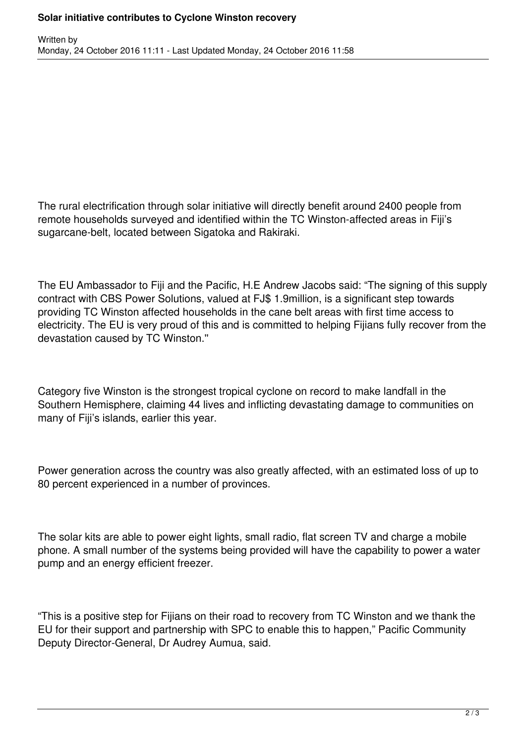The rural electrification through solar initiative will directly benefit around 2400 people from remote households surveyed and identified within the TC Winston-affected areas in Fiji's sugarcane-belt, located between Sigatoka and Rakiraki.

The EU Ambassador to Fiji and the Pacific, H.E Andrew Jacobs said: "The signing of this supply contract with CBS Power Solutions, valued at FJ\$ 1.9million, is a significant step towards providing TC Winston affected households in the cane belt areas with first time access to electricity. The EU is very proud of this and is committed to helping Fijians fully recover from the devastation caused by TC Winston.''

Category five Winston is the strongest tropical cyclone on record to make landfall in the Southern Hemisphere, claiming 44 lives and inflicting devastating damage to communities on many of Fiji's islands, earlier this year.

Power generation across the country was also greatly affected, with an estimated loss of up to 80 percent experienced in a number of provinces.

The solar kits are able to power eight lights, small radio, flat screen TV and charge a mobile phone. A small number of the systems being provided will have the capability to power a water pump and an energy efficient freezer.

"This is a positive step for Fijians on their road to recovery from TC Winston and we thank the EU for their support and partnership with SPC to enable this to happen," Pacific Community Deputy Director-General, Dr Audrey Aumua, said.